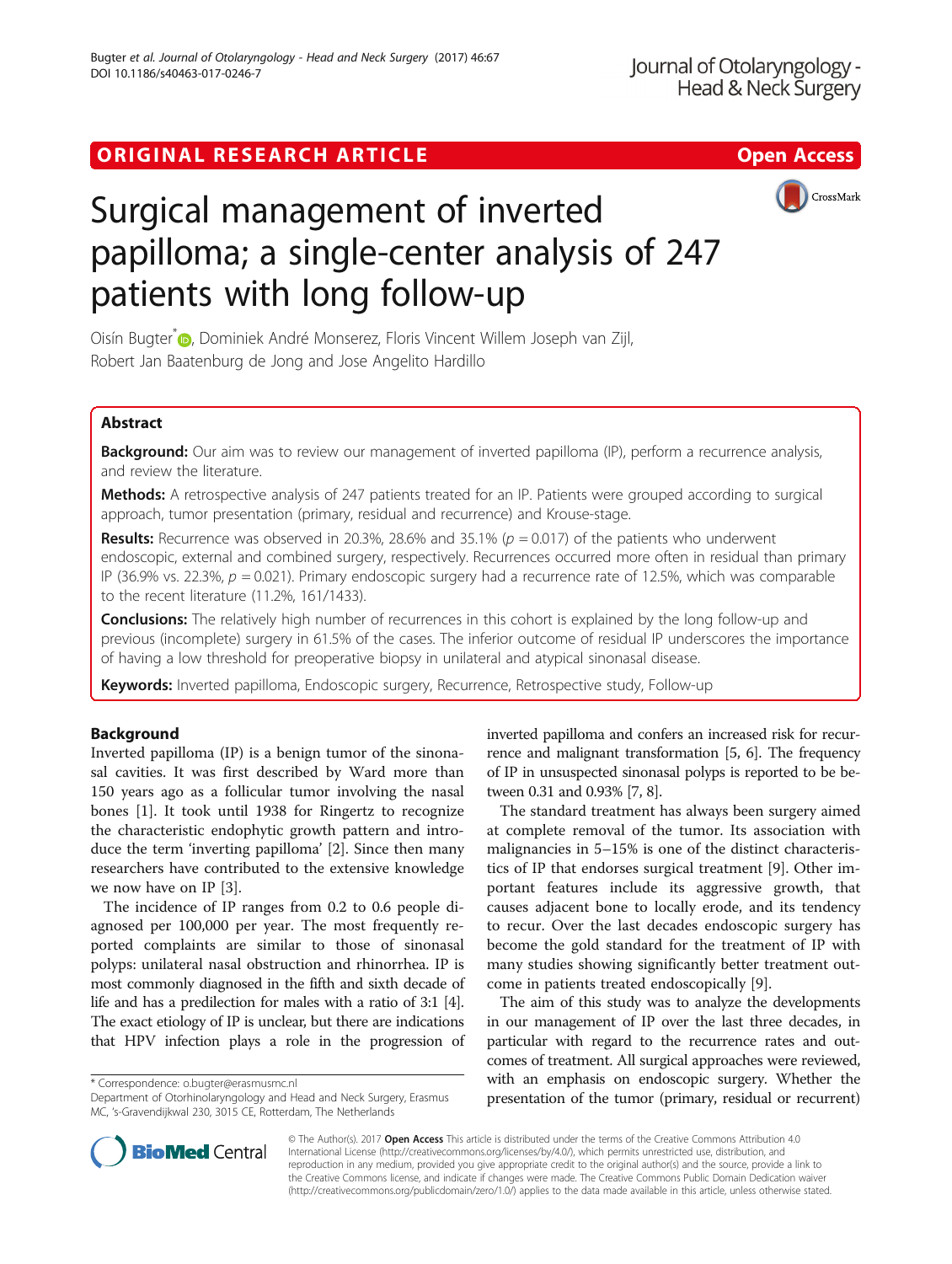# ORIGINAL RESEARCH ARTICLE **External of the Contract Contract Contract Contract Contract Contract Contract Contract Contract Contract Contract Contract Contract Contract Contract Contract Contract Contract Contract Contract**





# Surgical management of inverted papilloma; a single-center analysis of 247 patients with long follow-up

Oisín Bugter<sup>\*</sup> <sub>(D</sub>[,](http://orcid.org/0000-0003-3584-0440) Dominiek André Monserez, Floris Vincent Willem Joseph van Zijl, Robert Jan Baatenburg de Jong and Jose Angelito Hardillo

# Abstract

Background: Our aim was to review our management of inverted papilloma (IP), perform a recurrence analysis, and review the literature.

Methods: A retrospective analysis of 247 patients treated for an IP. Patients were grouped according to surgical approach, tumor presentation (primary, residual and recurrence) and Krouse-stage.

**Results:** Recurrence was observed in 20.3%, 28.6% and 35.1% ( $p = 0.017$ ) of the patients who underwent endoscopic, external and combined surgery, respectively. Recurrences occurred more often in residual than primary IP (36.9% vs. 22.3%,  $p = 0.021$ ). Primary endoscopic surgery had a recurrence rate of 12.5%, which was comparable to the recent literature (11.2%, 161/1433).

**Conclusions:** The relatively high number of recurrences in this cohort is explained by the long follow-up and previous (incomplete) surgery in 61.5% of the cases. The inferior outcome of residual IP underscores the importance of having a low threshold for preoperative biopsy in unilateral and atypical sinonasal disease.

Keywords: Inverted papilloma, Endoscopic surgery, Recurrence, Retrospective study, Follow-up

# Background

Inverted papilloma (IP) is a benign tumor of the sinonasal cavities. It was first described by Ward more than 150 years ago as a follicular tumor involving the nasal bones [\[1](#page-5-0)]. It took until 1938 for Ringertz to recognize the characteristic endophytic growth pattern and introduce the term 'inverting papilloma' [\[2\]](#page-5-0). Since then many researchers have contributed to the extensive knowledge we now have on IP [\[3\]](#page-5-0).

The incidence of IP ranges from 0.2 to 0.6 people diagnosed per 100,000 per year. The most frequently reported complaints are similar to those of sinonasal polyps: unilateral nasal obstruction and rhinorrhea. IP is most commonly diagnosed in the fifth and sixth decade of life and has a predilection for males with a ratio of 3:1 [[4](#page-5-0)]. The exact etiology of IP is unclear, but there are indications that HPV infection plays a role in the progression of

\* Correspondence: [o.bugter@erasmusmc.nl](mailto:o.bugter@erasmusmc.nl)

inverted papilloma and confers an increased risk for recurrence and malignant transformation [[5](#page-5-0), [6\]](#page-5-0). The frequency of IP in unsuspected sinonasal polyps is reported to be between 0.31 and 0.93% [\[7](#page-5-0), [8](#page-5-0)].

The standard treatment has always been surgery aimed at complete removal of the tumor. Its association with malignancies in 5–15% is one of the distinct characteristics of IP that endorses surgical treatment [[9](#page-5-0)]. Other important features include its aggressive growth, that causes adjacent bone to locally erode, and its tendency to recur. Over the last decades endoscopic surgery has become the gold standard for the treatment of IP with many studies showing significantly better treatment outcome in patients treated endoscopically [[9\]](#page-5-0).

The aim of this study was to analyze the developments in our management of IP over the last three decades, in particular with regard to the recurrence rates and outcomes of treatment. All surgical approaches were reviewed, with an emphasis on endoscopic surgery. Whether the presentation of the tumor (primary, residual or recurrent)



© The Author(s). 2017 **Open Access** This article is distributed under the terms of the Creative Commons Attribution 4.0 International License [\(http://creativecommons.org/licenses/by/4.0/](http://creativecommons.org/licenses/by/4.0/)), which permits unrestricted use, distribution, and reproduction in any medium, provided you give appropriate credit to the original author(s) and the source, provide a link to the Creative Commons license, and indicate if changes were made. The Creative Commons Public Domain Dedication waiver [\(http://creativecommons.org/publicdomain/zero/1.0/](http://creativecommons.org/publicdomain/zero/1.0/)) applies to the data made available in this article, unless otherwise stated.

Department of Otorhinolaryngology and Head and Neck Surgery, Erasmus MC, 's-Gravendijkwal 230, 3015 CE, Rotterdam, The Netherlands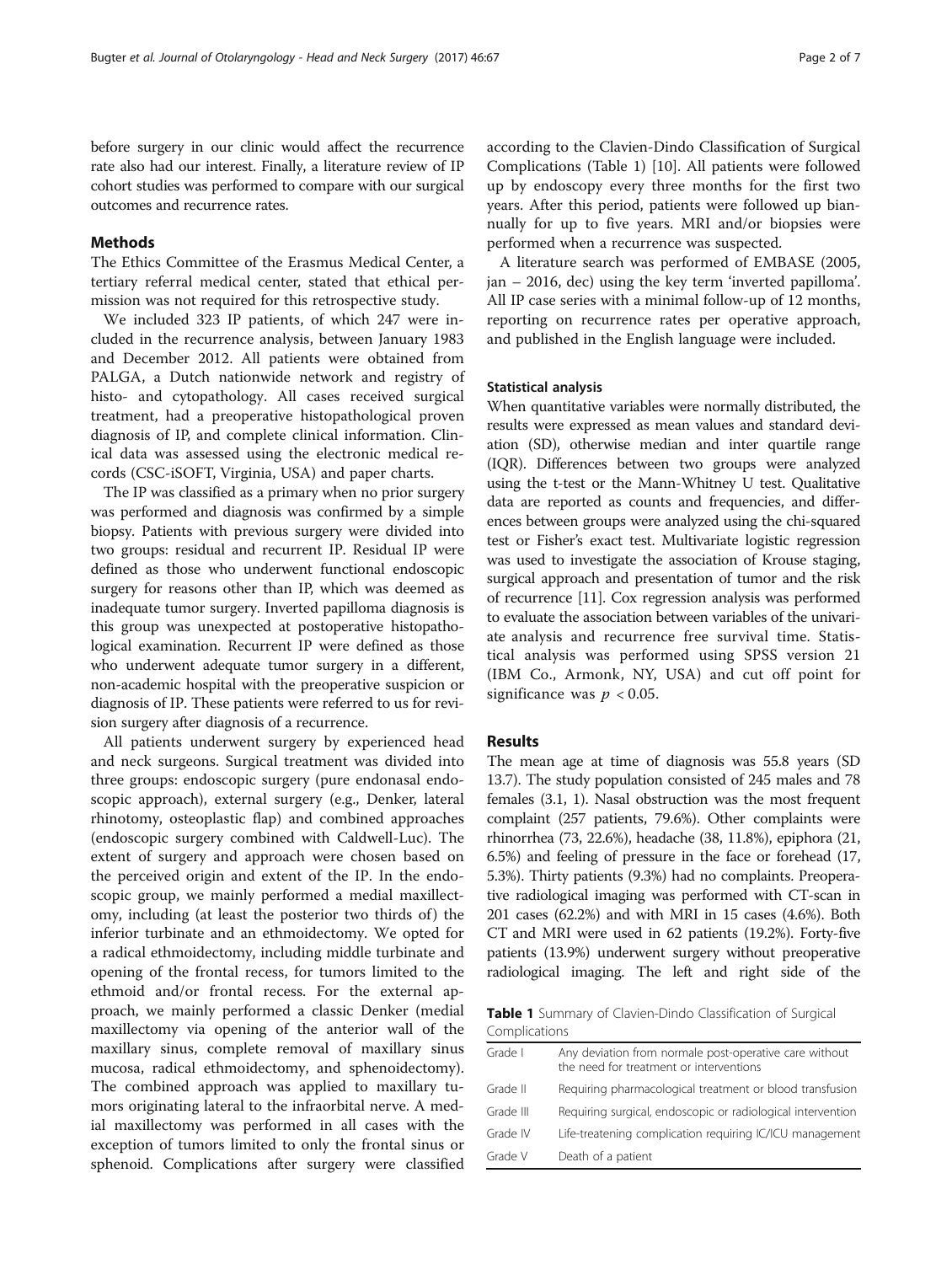before surgery in our clinic would affect the recurrence rate also had our interest. Finally, a literature review of IP cohort studies was performed to compare with our surgical outcomes and recurrence rates.

# Methods

The Ethics Committee of the Erasmus Medical Center, a tertiary referral medical center, stated that ethical permission was not required for this retrospective study.

We included 323 IP patients, of which 247 were included in the recurrence analysis, between January 1983 and December 2012. All patients were obtained from PALGA, a Dutch nationwide network and registry of histo- and cytopathology. All cases received surgical treatment, had a preoperative histopathological proven diagnosis of IP, and complete clinical information. Clinical data was assessed using the electronic medical records (CSC-iSOFT, Virginia, USA) and paper charts.

The IP was classified as a primary when no prior surgery was performed and diagnosis was confirmed by a simple biopsy. Patients with previous surgery were divided into two groups: residual and recurrent IP. Residual IP were defined as those who underwent functional endoscopic surgery for reasons other than IP, which was deemed as inadequate tumor surgery. Inverted papilloma diagnosis is this group was unexpected at postoperative histopathological examination. Recurrent IP were defined as those who underwent adequate tumor surgery in a different, non-academic hospital with the preoperative suspicion or diagnosis of IP. These patients were referred to us for revision surgery after diagnosis of a recurrence.

All patients underwent surgery by experienced head and neck surgeons. Surgical treatment was divided into three groups: endoscopic surgery (pure endonasal endoscopic approach), external surgery (e.g., Denker, lateral rhinotomy, osteoplastic flap) and combined approaches (endoscopic surgery combined with Caldwell-Luc). The extent of surgery and approach were chosen based on the perceived origin and extent of the IP. In the endoscopic group, we mainly performed a medial maxillectomy, including (at least the posterior two thirds of) the inferior turbinate and an ethmoidectomy. We opted for a radical ethmoidectomy, including middle turbinate and opening of the frontal recess, for tumors limited to the ethmoid and/or frontal recess. For the external approach, we mainly performed a classic Denker (medial maxillectomy via opening of the anterior wall of the maxillary sinus, complete removal of maxillary sinus mucosa, radical ethmoidectomy, and sphenoidectomy). The combined approach was applied to maxillary tumors originating lateral to the infraorbital nerve. A medial maxillectomy was performed in all cases with the exception of tumors limited to only the frontal sinus or sphenoid. Complications after surgery were classified

according to the Clavien-Dindo Classification of Surgical Complications (Table 1) [\[10\]](#page-6-0). All patients were followed up by endoscopy every three months for the first two years. After this period, patients were followed up biannually for up to five years. MRI and/or biopsies were performed when a recurrence was suspected.

A literature search was performed of EMBASE (2005, jan – 2016, dec) using the key term 'inverted papilloma'. All IP case series with a minimal follow-up of 12 months, reporting on recurrence rates per operative approach, and published in the English language were included.

### Statistical analysis

When quantitative variables were normally distributed, the results were expressed as mean values and standard deviation (SD), otherwise median and inter quartile range (IQR). Differences between two groups were analyzed using the t-test or the Mann-Whitney U test. Qualitative data are reported as counts and frequencies, and differences between groups were analyzed using the chi-squared test or Fisher's exact test. Multivariate logistic regression was used to investigate the association of Krouse staging, surgical approach and presentation of tumor and the risk of recurrence [[11](#page-6-0)]. Cox regression analysis was performed to evaluate the association between variables of the univariate analysis and recurrence free survival time. Statistical analysis was performed using SPSS version 21 (IBM Co., Armonk, NY, USA) and cut off point for significance was  $p < 0.05$ .

# Results

The mean age at time of diagnosis was 55.8 years (SD 13.7). The study population consisted of 245 males and 78 females (3.1, 1). Nasal obstruction was the most frequent complaint (257 patients, 79.6%). Other complaints were rhinorrhea (73, 22.6%), headache (38, 11.8%), epiphora (21, 6.5%) and feeling of pressure in the face or forehead (17, 5.3%). Thirty patients (9.3%) had no complaints. Preoperative radiological imaging was performed with CT-scan in 201 cases (62.2%) and with MRI in 15 cases (4.6%). Both CT and MRI were used in 62 patients (19.2%). Forty-five patients (13.9%) underwent surgery without preoperative radiological imaging. The left and right side of the

Table 1 Summary of Clavien-Dindo Classification of Surgical Complications

| Grade I   | Any deviation from normale post-operative care without<br>the need for treatment or interventions |
|-----------|---------------------------------------------------------------------------------------------------|
| Grade II  | Requiring pharmacological treatment or blood transfusion                                          |
| Grade III | Requiring surgical, endoscopic or radiological intervention                                       |
| Grade IV  | Life-treatening complication requiring IC/ICU management                                          |
| Grade V   | Death of a patient                                                                                |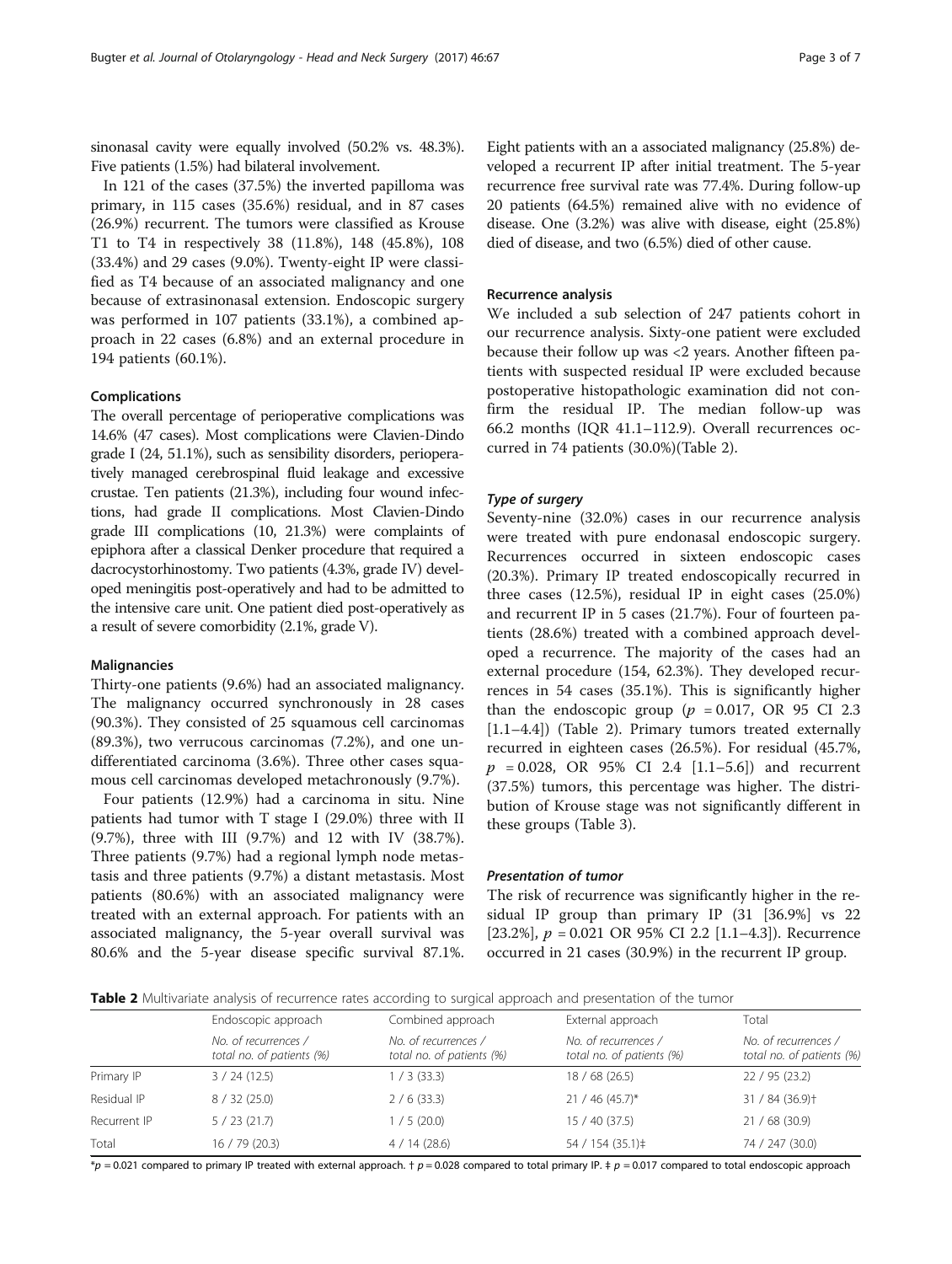<span id="page-2-0"></span>sinonasal cavity were equally involved (50.2% vs. 48.3%). Five patients (1.5%) had bilateral involvement.

In 121 of the cases (37.5%) the inverted papilloma was primary, in 115 cases (35.6%) residual, and in 87 cases (26.9%) recurrent. The tumors were classified as Krouse T1 to T4 in respectively 38 (11.8%), 148 (45.8%), 108 (33.4%) and 29 cases (9.0%). Twenty-eight IP were classified as T4 because of an associated malignancy and one because of extrasinonasal extension. Endoscopic surgery was performed in 107 patients (33.1%), a combined approach in 22 cases (6.8%) and an external procedure in 194 patients (60.1%).

## Complications

The overall percentage of perioperative complications was 14.6% (47 cases). Most complications were Clavien-Dindo grade I (24, 51.1%), such as sensibility disorders, perioperatively managed cerebrospinal fluid leakage and excessive crustae. Ten patients (21.3%), including four wound infections, had grade II complications. Most Clavien-Dindo grade III complications (10, 21.3%) were complaints of epiphora after a classical Denker procedure that required a dacrocystorhinostomy. Two patients (4.3%, grade IV) developed meningitis post-operatively and had to be admitted to the intensive care unit. One patient died post-operatively as a result of severe comorbidity (2.1%, grade V).

### Malignancies

Thirty-one patients (9.6%) had an associated malignancy. The malignancy occurred synchronously in 28 cases (90.3%). They consisted of 25 squamous cell carcinomas (89.3%), two verrucous carcinomas (7.2%), and one undifferentiated carcinoma (3.6%). Three other cases squamous cell carcinomas developed metachronously (9.7%).

Four patients (12.9%) had a carcinoma in situ. Nine patients had tumor with T stage I (29.0%) three with II (9.7%), three with III (9.7%) and 12 with IV (38.7%). Three patients (9.7%) had a regional lymph node metastasis and three patients (9.7%) a distant metastasis. Most patients (80.6%) with an associated malignancy were treated with an external approach. For patients with an associated malignancy, the 5-year overall survival was 80.6% and the 5-year disease specific survival 87.1%.

Eight patients with an a associated malignancy (25.8%) developed a recurrent IP after initial treatment. The 5-year recurrence free survival rate was 77.4%. During follow-up 20 patients (64.5%) remained alive with no evidence of disease. One (3.2%) was alive with disease, eight (25.8%) died of disease, and two (6.5%) died of other cause.

# Recurrence analysis

We included a sub selection of 247 patients cohort in our recurrence analysis. Sixty-one patient were excluded because their follow up was <2 years. Another fifteen patients with suspected residual IP were excluded because postoperative histopathologic examination did not confirm the residual IP. The median follow-up was 66.2 months (IQR 41.1–112.9). Overall recurrences occurred in 74 patients (30.0%)(Table 2).

Seventy-nine (32.0%) cases in our recurrence analysis were treated with pure endonasal endoscopic surgery. Recurrences occurred in sixteen endoscopic cases (20.3%). Primary IP treated endoscopically recurred in three cases (12.5%), residual IP in eight cases (25.0%) and recurrent IP in 5 cases (21.7%). Four of fourteen patients (28.6%) treated with a combined approach developed a recurrence. The majority of the cases had an external procedure (154, 62.3%). They developed recurrences in 54 cases (35.1%). This is significantly higher than the endoscopic group ( $p = 0.017$ , OR 95 CI 2.3 [1.1–4.4]) (Table 2). Primary tumors treated externally recurred in eighteen cases (26.5%). For residual (45.7%,  $p = 0.028$ , OR 95% CI 2.4 [1.1–5.6]) and recurrent (37.5%) tumors, this percentage was higher. The distribution of Krouse stage was not significantly different in these groups (Table [3\)](#page-3-0).

### Presentation of tumor

The risk of recurrence was significantly higher in the residual IP group than primary IP (31 [36.9%] vs 22 [23.2%],  $p = 0.021$  OR 95% CI 2.2 [1.1–4.3]). Recurrence occurred in 21 cases (30.9%) in the recurrent IP group.

**Table 2** Multivariate analysis of recurrence rates according to surgical approach and presentation of the tumor

|              | Endoscopic approach                               | Combined approach                                 | External approach                                 | Total                                             |
|--------------|---------------------------------------------------|---------------------------------------------------|---------------------------------------------------|---------------------------------------------------|
|              | No. of recurrences /<br>total no. of patients (%) | No. of recurrences /<br>total no. of patients (%) | No. of recurrences /<br>total no. of patients (%) | No. of recurrences /<br>total no. of patients (%) |
| Primary IP   | 3 / 24 (12.5)                                     | $1/3$ (33.3)                                      | 18/68(26.5)                                       | 22/95(23.2)                                       |
| Residual IP  | 8 / 32 (25.0)                                     | 2/6(33.3)                                         | 21 / 46 (45.7)*                                   | 31 / 84 (36.9) <sup>+</sup>                       |
| Recurrent IP | 5/23(21.7)                                        | 1/5(20.0)                                         | 15/40(37.5)                                       | 21 / 68 (30.9)                                    |
| Total        | 16 / 79 (20.3)                                    | 4/14(28.6)                                        | 54 / 154 (35.1) ‡                                 | 74 / 247 (30.0)                                   |

 $/p = 0.021$  compared to primary IP treated with external approach. †  $p = 0.028$  compared to total primary IP. ‡  $p = 0.017$  compared to total endoscopic approach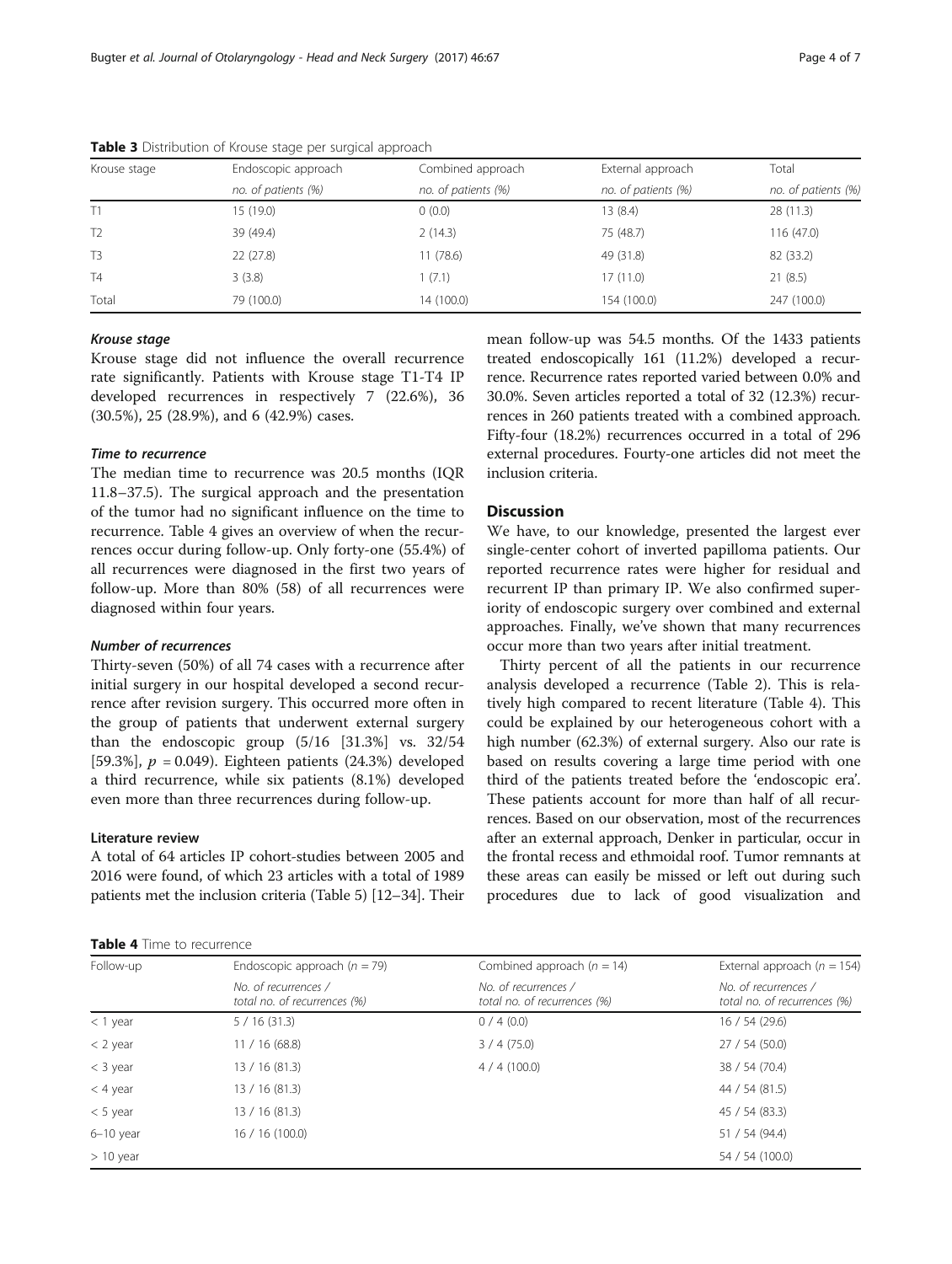| Krouse stage   | Endoscopic approach | Combined approach   | External approach   | Total               |
|----------------|---------------------|---------------------|---------------------|---------------------|
|                | no. of patients (%) | no. of patients (%) | no. of patients (%) | no. of patients (%) |
| Τ1             | 15 (19.0)           | 0(0.0)              | 13(8.4)             | 28(11.3)            |
| T <sub>2</sub> | 39 (49.4)           | 2(14.3)             | 75 (48.7)           | 116 (47.0)          |
| T <sub>3</sub> | 22(27.8)            | 11(78.6)            | 49 (31.8)           | 82 (33.2)           |
| T <sub>4</sub> | 3(3.8)              | 1(7.1)              | 17(11.0)            | 21(8.5)             |
| Total          | 79 (100.0)          | 14 (100.0)          | 154 (100.0)         | 247 (100.0)         |

<span id="page-3-0"></span>Table 3 Distribution of Krouse stage per surgical approach

Krouse stage Krouse stage did not influence the overall recurrence rate significantly. Patients with Krouse stage T1-T4 IP developed recurrences in respectively 7 (22.6%), 36 (30.5%), 25 (28.9%), and 6 (42.9%) cases.

The median time to recurrence was 20.5 months (IQR 11.8–37.5). The surgical approach and the presentation of the tumor had no significant influence on the time to recurrence. Table 4 gives an overview of when the recurrences occur during follow-up. Only forty-one (55.4%) of all recurrences were diagnosed in the first two years of follow-up. More than 80% (58) of all recurrences were diagnosed within four years.

# **Number of recurrences**

Thirty-seven (50%) of all 74 cases with a recurrence after initial surgery in our hospital developed a second recurrence after revision surgery. This occurred more often in the group of patients that underwent external surgery than the endoscopic group (5/16 [31.3%] vs. 32/54 [59.3%],  $p = 0.049$ ). Eighteen patients (24.3%) developed a third recurrence, while six patients (8.1%) developed even more than three recurrences during follow-up.

### Literature review

A total of 64 articles IP cohort-studies between 2005 and 2016 were found, of which 23 articles with a total of 1989 patients met the inclusion criteria (Table [5\)](#page-4-0) [[12](#page-6-0)–[34\]](#page-6-0). Their

| Table 4 Time to recurrence |  |
|----------------------------|--|
|----------------------------|--|

mean follow-up was 54.5 months. Of the 1433 patients treated endoscopically 161 (11.2%) developed a recurrence. Recurrence rates reported varied between 0.0% and 30.0%. Seven articles reported a total of 32 (12.3%) recurrences in 260 patients treated with a combined approach. Fifty-four (18.2%) recurrences occurred in a total of 296 external procedures. Fourty-one articles did not meet the inclusion criteria.

# **Discussion**

We have, to our knowledge, presented the largest ever single-center cohort of inverted papilloma patients. Our reported recurrence rates were higher for residual and recurrent IP than primary IP. We also confirmed superiority of endoscopic surgery over combined and external approaches. Finally, we've shown that many recurrences occur more than two years after initial treatment.

Thirty percent of all the patients in our recurrence analysis developed a recurrence (Table [2](#page-2-0)). This is relatively high compared to recent literature (Table 4). This could be explained by our heterogeneous cohort with a high number (62.3%) of external surgery. Also our rate is based on results covering a large time period with one third of the patients treated before the 'endoscopic era'. These patients account for more than half of all recurrences. Based on our observation, most of the recurrences after an external approach, Denker in particular, occur in the frontal recess and ethmoidal roof. Tumor remnants at these areas can easily be missed or left out during such procedures due to lack of good visualization and

| Follow-up   | Endoscopic approach $(n = 79)$                       | Combined approach ( $n = 14$ )                       | External approach ( $n = 154$ )                      |  |
|-------------|------------------------------------------------------|------------------------------------------------------|------------------------------------------------------|--|
|             | No. of recurrences /<br>total no. of recurrences (%) | No. of recurrences /<br>total no. of recurrences (%) | No. of recurrences /<br>total no. of recurrences (%) |  |
| $<$ 1 year  | 5/16(31.3)                                           | 0/4(0.0)                                             | 16 / 54 (29.6)                                       |  |
| $<$ 2 year  | 11 / 16(68.8)                                        | 3 / 4 (75.0)                                         | 27/54(50.0)                                          |  |
| $<$ 3 year  | 13 / 16 (81.3)                                       | 4/4(100.0)                                           | 38 / 54 (70.4)                                       |  |
| $<$ 4 year  | 13 / 16 (81.3)                                       |                                                      | 44 / 54 (81.5)                                       |  |
| $<$ 5 year  | 13 / 16 (81.3)                                       |                                                      | 45 / 54 (83.3)                                       |  |
| $6-10$ year | 16/16(100.0)                                         |                                                      | 51 / 54 (94.4)                                       |  |
| $> 10$ year |                                                      |                                                      | 54 / 54 (100.0)                                      |  |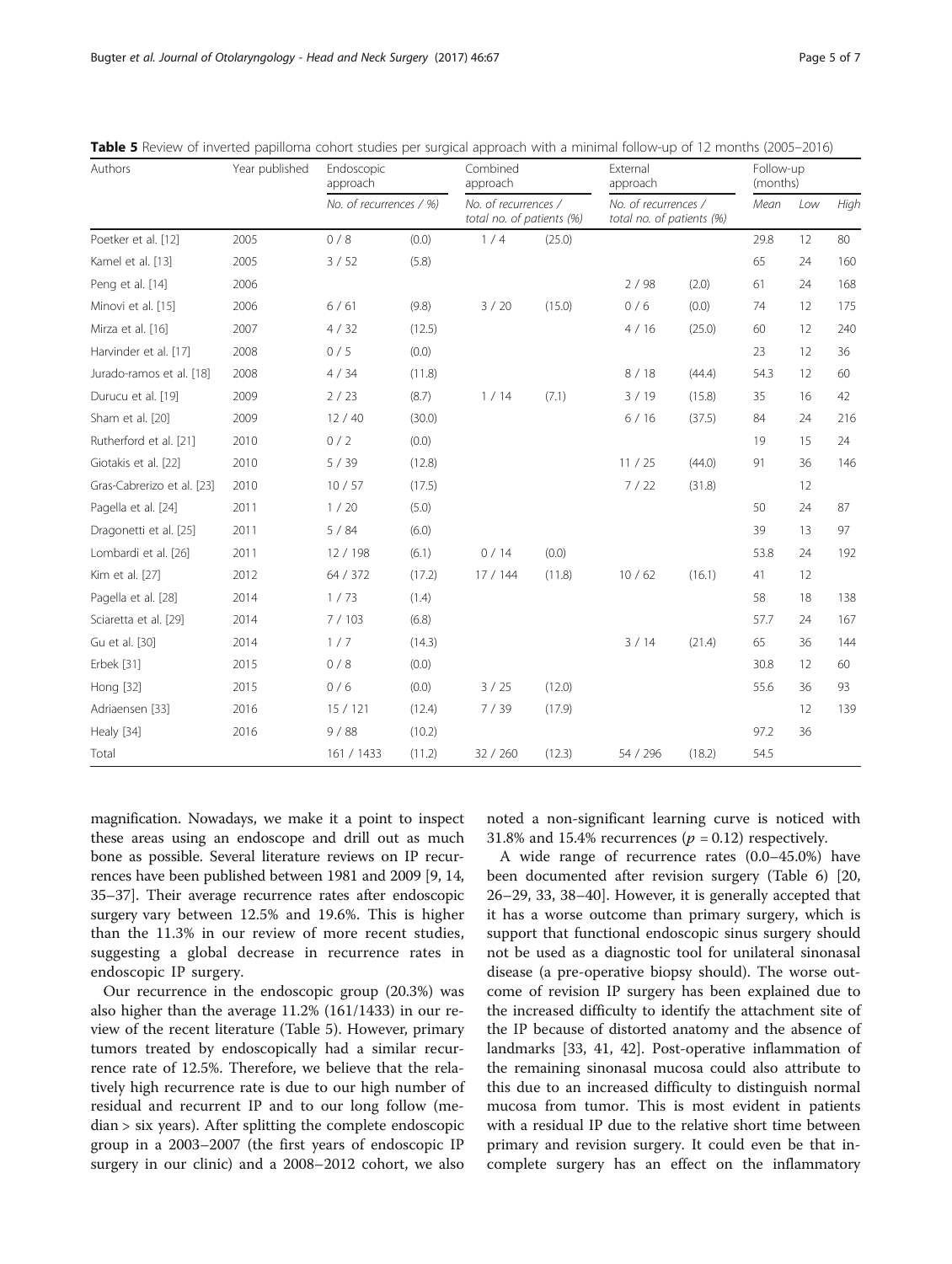| Authors                    | Year published | Endoscopic<br>approach<br>No. of recurrences / %) |        | Combined<br>approach<br>No. of recurrences /<br>total no. of patients (%) |        | External<br>approach<br>No. of recurrences /<br>total no. of patients (%) |        | Follow-up<br>(months) |                   |      |
|----------------------------|----------------|---------------------------------------------------|--------|---------------------------------------------------------------------------|--------|---------------------------------------------------------------------------|--------|-----------------------|-------------------|------|
|                            |                |                                                   |        |                                                                           |        |                                                                           |        | Mean                  | Low               | High |
| Poetker et al. [12]        | 2005           | 0/8                                               | (0.0)  | 1/4                                                                       | (25.0) |                                                                           |        | 29.8                  | 12                | 80   |
| Kamel et al. [13]          | 2005           | 3/52                                              | (5.8)  |                                                                           |        |                                                                           |        | 65                    | 24                | 160  |
| Peng et al. [14]           | 2006           |                                                   |        |                                                                           |        | 2/98                                                                      | (2.0)  | 61                    | 24                | 168  |
| Minovi et al. [15]         | 2006           | 6/61                                              | (9.8)  | 3/20                                                                      | (15.0) | 0/6                                                                       | (0.0)  | 74                    | 12                | 175  |
| Mirza et al. [16]          | 2007           | 4/32                                              | (12.5) |                                                                           |        | 4/16                                                                      | (25.0) | 60                    | $12 \overline{ }$ | 240  |
| Harvinder et al. [17]      | 2008           | 0/5                                               | (0.0)  |                                                                           |        |                                                                           |        | 23                    | 12                | 36   |
| Jurado-ramos et al. [18]   | 2008           | 4/34                                              | (11.8) |                                                                           |        | 8/18                                                                      | (44.4) | 54.3                  | 12                | 60   |
| Durucu et al. [19]         | 2009           | 2/23                                              | (8.7)  | 1/14                                                                      | (7.1)  | 3/19                                                                      | (15.8) | 35                    | 16                | 42   |
| Sham et al. [20]           | 2009           | 12/40                                             | (30.0) |                                                                           |        | 6/16                                                                      | (37.5) | 84                    | 24                | 216  |
| Rutherford et al. [21]     | 2010           | 0/2                                               | (0.0)  |                                                                           |        |                                                                           |        | 19                    | 15                | 24   |
| Giotakis et al. [22]       | 2010           | 5/39                                              | (12.8) |                                                                           |        | 11/25                                                                     | (44.0) | 91                    | 36                | 146  |
| Gras-Cabrerizo et al. [23] | 2010           | 10/57                                             | (17.5) |                                                                           |        | 7/22                                                                      | (31.8) |                       | 12                |      |
| Pagella et al. [24]        | 2011           | 1/20                                              | (5.0)  |                                                                           |        |                                                                           |        | 50                    | 24                | 87   |
| Dragonetti et al. [25]     | 2011           | 5/84                                              | (6.0)  |                                                                           |        |                                                                           |        | 39                    | 13                | 97   |
| Lombardi et al. [26]       | 2011           | 12 / 198                                          | (6.1)  | 0/14                                                                      | (0.0)  |                                                                           |        | 53.8                  | 24                | 192  |
| Kim et al. [27]            | 2012           | 64 / 372                                          | (17.2) | 17/144                                                                    | (11.8) | 10/62                                                                     | (16.1) | 41                    | 12                |      |
| Pagella et al. [28]        | 2014           | 1/73                                              | (1.4)  |                                                                           |        |                                                                           |        | 58                    | 18                | 138  |
| Sciaretta et al. [29]      | 2014           | 7/103                                             | (6.8)  |                                                                           |        |                                                                           |        | 57.7                  | 24                | 167  |
| Gu et al. [30]             | 2014           | 1/7                                               | (14.3) |                                                                           |        | 3/14                                                                      | (21.4) | 65                    | 36                | 144  |
| Erbek [31]                 | 2015           | 0/8                                               | (0.0)  |                                                                           |        |                                                                           |        | 30.8                  | 12                | 60   |
| Hong [32]                  | 2015           | 0/6                                               | (0.0)  | 3/25                                                                      | (12.0) |                                                                           |        | 55.6                  | 36                | 93   |
| Adriaensen [33]            | 2016           | 15/121                                            | (12.4) | 7/39                                                                      | (17.9) |                                                                           |        |                       | 12                | 139  |
| Healy [34]                 | 2016           | 9/88                                              | (10.2) |                                                                           |        |                                                                           |        | 97.2                  | 36                |      |
| Total                      |                | 161 / 1433                                        | (11.2) | 32 / 260                                                                  | (12.3) | 54 / 296                                                                  | (18.2) | 54.5                  |                   |      |

<span id="page-4-0"></span>Table 5 Review of inverted papilloma cohort studies per surgical approach with a minimal follow-up of 12 months (2005–2016)

magnification. Nowadays, we make it a point to inspect these areas using an endoscope and drill out as much bone as possible. Several literature reviews on IP recurrences have been published between 1981 and 2009 [\[9](#page-5-0), [14](#page-6-0), [35](#page-6-0)–[37\]](#page-6-0). Their average recurrence rates after endoscopic surgery vary between 12.5% and 19.6%. This is higher than the 11.3% in our review of more recent studies, suggesting a global decrease in recurrence rates in endoscopic IP surgery.

Our recurrence in the endoscopic group (20.3%) was also higher than the average 11.2% (161/1433) in our review of the recent literature (Table 5). However, primary tumors treated by endoscopically had a similar recurrence rate of 12.5%. Therefore, we believe that the relatively high recurrence rate is due to our high number of residual and recurrent IP and to our long follow (median > six years). After splitting the complete endoscopic group in a 2003–2007 (the first years of endoscopic IP surgery in our clinic) and a 2008–2012 cohort, we also

noted a non-significant learning curve is noticed with 31.8% and 15.4% recurrences ( $p = 0.12$ ) respectively.

A wide range of recurrence rates (0.0–45.0%) have been documented after revision surgery (Table [6](#page-5-0)) [[20](#page-6-0), [26](#page-6-0)–[29](#page-6-0), [33](#page-6-0), [38](#page-6-0)–[40](#page-6-0)]. However, it is generally accepted that it has a worse outcome than primary surgery, which is support that functional endoscopic sinus surgery should not be used as a diagnostic tool for unilateral sinonasal disease (a pre-operative biopsy should). The worse outcome of revision IP surgery has been explained due to the increased difficulty to identify the attachment site of the IP because of distorted anatomy and the absence of landmarks [\[33, 41, 42](#page-6-0)]. Post-operative inflammation of the remaining sinonasal mucosa could also attribute to this due to an increased difficulty to distinguish normal mucosa from tumor. This is most evident in patients with a residual IP due to the relative short time between primary and revision surgery. It could even be that incomplete surgery has an effect on the inflammatory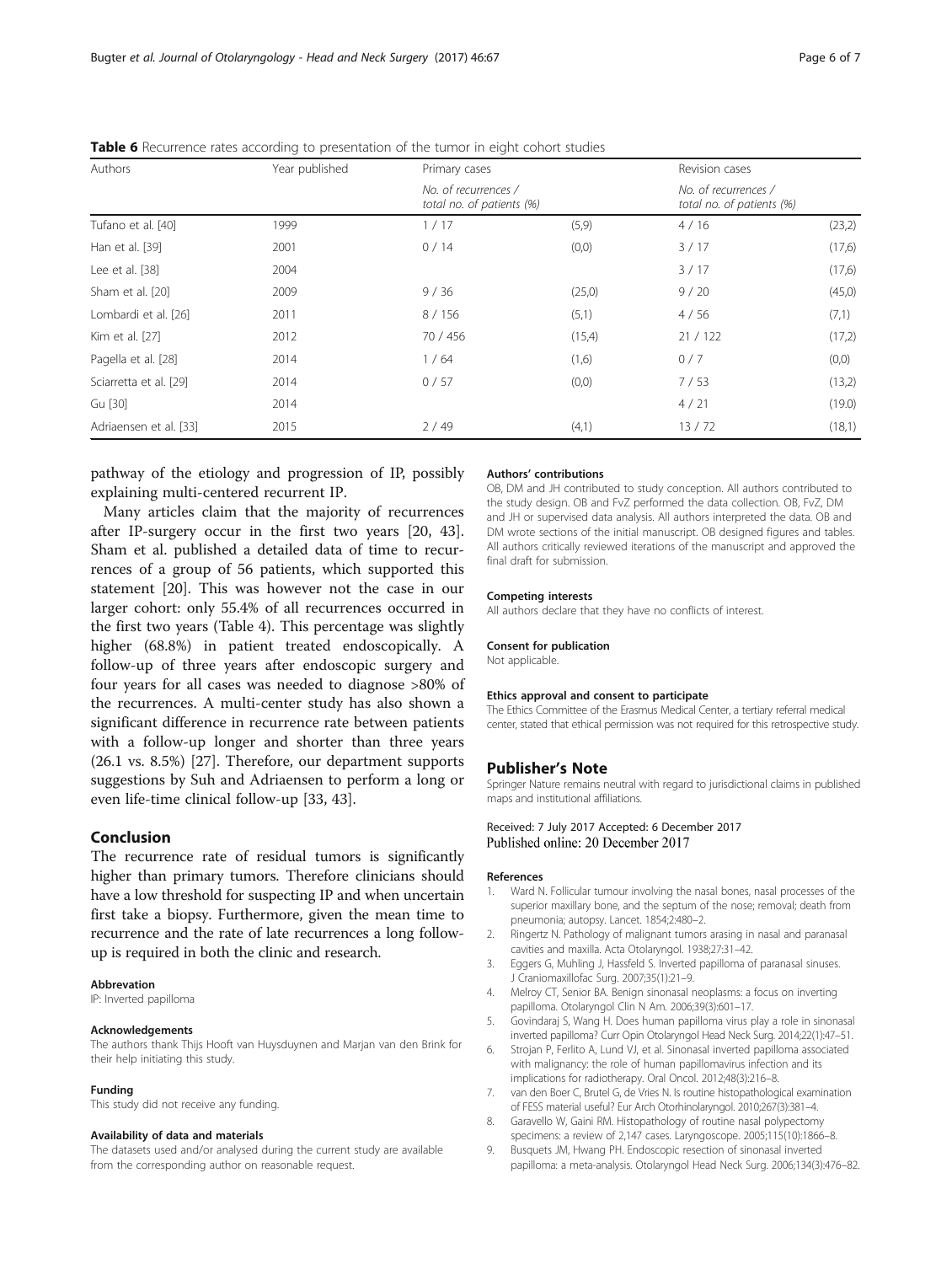| Authors                | Year published | Primary cases                                     |        | Revision cases                                    |        |
|------------------------|----------------|---------------------------------------------------|--------|---------------------------------------------------|--------|
|                        |                | No. of recurrences /<br>total no. of patients (%) |        | No. of recurrences /<br>total no. of patients (%) |        |
| Tufano et al. [40]     | 1999           | 1/17                                              | (5,9)  | 4/16                                              | (23,2) |
| Han et al. [39]        | 2001           | 0/14                                              | (0,0)  | 3/17                                              | (17,6) |
| Lee et al. [38]        | 2004           |                                                   |        | 3/17                                              | (17,6) |
| Sham et al. [20]       | 2009           | 9/36                                              | (25,0) | 9/20                                              | (45,0) |
| Lombardi et al. [26]   | 2011           | 8/156                                             | (5,1)  | 4/56                                              | (7,1)  |
| Kim et al. [27]        | 2012           | 70 / 456                                          | (15,4) | 21/122                                            | (17,2) |
| Pagella et al. [28]    | 2014           | 1/64                                              | (1,6)  | 0/7                                               | (0,0)  |
| Sciarretta et al. [29] | 2014           | 0/57                                              | (0,0)  | 7/53                                              | (13,2) |
| Gu [30]                | 2014           |                                                   |        | 4/21                                              | (19.0) |
| Adriaensen et al. [33] | 2015           | 2/49                                              | (4,1)  | 13/72                                             | (18,1) |

<span id="page-5-0"></span>Table 6 Recurrence rates according to presentation of the tumor in eight cohort studies

pathway of the etiology and progression of IP, possibly explaining multi-centered recurrent IP.

Many articles claim that the majority of recurrences after IP-surgery occur in the first two years [\[20](#page-6-0), [43](#page-6-0)]. Sham et al. published a detailed data of time to recurrences of a group of 56 patients, which supported this statement [[20](#page-6-0)]. This was however not the case in our larger cohort: only 55.4% of all recurrences occurred in the first two years (Table [4\)](#page-3-0). This percentage was slightly higher (68.8%) in patient treated endoscopically. A follow-up of three years after endoscopic surgery and four years for all cases was needed to diagnose >80% of the recurrences. A multi-center study has also shown a significant difference in recurrence rate between patients with a follow-up longer and shorter than three years (26.1 vs. 8.5%) [[27](#page-6-0)]. Therefore, our department supports suggestions by Suh and Adriaensen to perform a long or even life-time clinical follow-up [[33, 43\]](#page-6-0).

# Conclusion

The recurrence rate of residual tumors is significantly higher than primary tumors. Therefore clinicians should have a low threshold for suspecting IP and when uncertain first take a biopsy. Furthermore, given the mean time to recurrence and the rate of late recurrences a long followup is required in both the clinic and research.

#### Abbrevation

IP: Inverted papilloma

#### Acknowledgements

The authors thank Thijs Hooft van Huysduynen and Marjan van den Brink for their help initiating this study.

#### Funding

This study did not receive any funding.

#### Availability of data and materials

The datasets used and/or analysed during the current study are available from the corresponding author on reasonable request.

#### Authors' contributions

OB, DM and JH contributed to study conception. All authors contributed to the study design. OB and FvZ performed the data collection. OB, FvZ, DM and JH or supervised data analysis. All authors interpreted the data. OB and DM wrote sections of the initial manuscript. OB designed figures and tables. All authors critically reviewed iterations of the manuscript and approved the final draft for submission.

#### Competing interests

All authors declare that they have no conflicts of interest.

#### Consent for publication

Not applicable.

#### Ethics approval and consent to participate

The Ethics Committee of the Erasmus Medical Center, a tertiary referral medical center, stated that ethical permission was not required for this retrospective study.

#### Publisher's Note

Springer Nature remains neutral with regard to jurisdictional claims in published maps and institutional affiliations.

#### Received: 7 July 2017 Accepted: 6 December 2017 Published online: 20 December 2017

#### References

- 1. Ward N. Follicular tumour involving the nasal bones, nasal processes of the superior maxillary bone, and the septum of the nose; removal; death from pneumonia; autopsy. Lancet. 1854;2:480–2.
- 2. Ringertz N. Pathology of malignant tumors arasing in nasal and paranasal cavities and maxilla. Acta Otolaryngol. 1938;27:31–42.
- 3. Eggers G, Muhling J, Hassfeld S. Inverted papilloma of paranasal sinuses. J Craniomaxillofac Surg. 2007;35(1):21–9.
- 4. Melroy CT, Senior BA. Benign sinonasal neoplasms: a focus on inverting papilloma. Otolaryngol Clin N Am. 2006;39(3):601–17.
- 5. Govindaraj S, Wang H. Does human papilloma virus play a role in sinonasal inverted papilloma? Curr Opin Otolaryngol Head Neck Surg. 2014;22(1):47–51.
- 6. Strojan P, Ferlito A, Lund VJ, et al. Sinonasal inverted papilloma associated with malignancy: the role of human papillomavirus infection and its implications for radiotherapy. Oral Oncol. 2012;48(3):216–8.
- 7. van den Boer C, Brutel G, de Vries N. Is routine histopathological examination of FESS material useful? Eur Arch Otorhinolaryngol. 2010;267(3):381–4.
- 8. Garavello W, Gaini RM. Histopathology of routine nasal polypectomy specimens: a review of 2,147 cases. Laryngoscope. 2005;115(10):1866–8.
- 9. Busquets JM, Hwang PH. Endoscopic resection of sinonasal inverted papilloma: a meta-analysis. Otolaryngol Head Neck Surg. 2006;134(3):476–82.